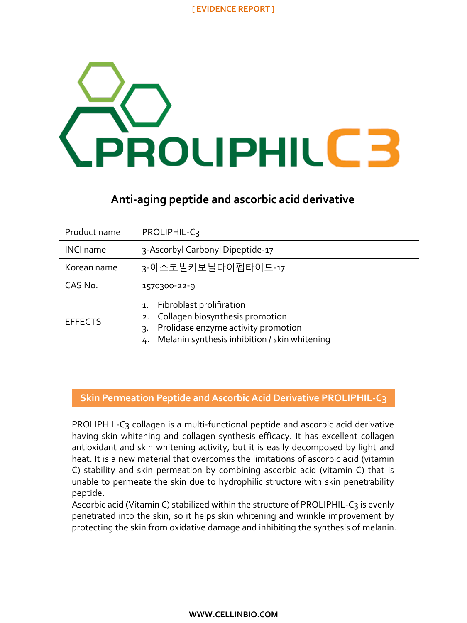

# **Anti-aging peptide and ascorbic acid derivative**

| Product name     | PROLIPHIL-C3                                                                                                                                                          |
|------------------|-----------------------------------------------------------------------------------------------------------------------------------------------------------------------|
| <b>INCI name</b> | 3-Ascorbyl Carbonyl Dipeptide-17                                                                                                                                      |
| Korean name      | 3-아스코빌카보닐다이펩타이드-17                                                                                                                                                    |
| CAS No.          | 1570300-22-9                                                                                                                                                          |
| <b>EFFECTS</b>   | Fibroblast prolifiration<br>1.<br>2. Collagen biosynthesis promotion<br>Prolidase enzyme activity promotion<br>3.<br>4. Melanin synthesis inhibition / skin whitening |

## **Skin Permeation Peptide and Ascorbic Acid Derivative PROLIPHIL-C3**

PROLIPHIL-C3 collagen is a multi-functional peptide and ascorbic acid derivative having skin whitening and collagen synthesis efficacy. It has excellent collagen antioxidant and skin whitening activity, but it is easily decomposed by light and heat. It is a new material that overcomes the limitations of ascorbic acid (vitamin C) stability and skin permeation by combining ascorbic acid (vitamin C) that is unable to permeate the skin due to hydrophilic structure with skin penetrability peptide.

Ascorbic acid (Vitamin C) stabilized within the structure of PROLIPHIL-C3 is evenly penetrated into the skin, so it helps skin whitening and wrinkle improvement by protecting the skin from oxidative damage and inhibiting the synthesis of melanin.